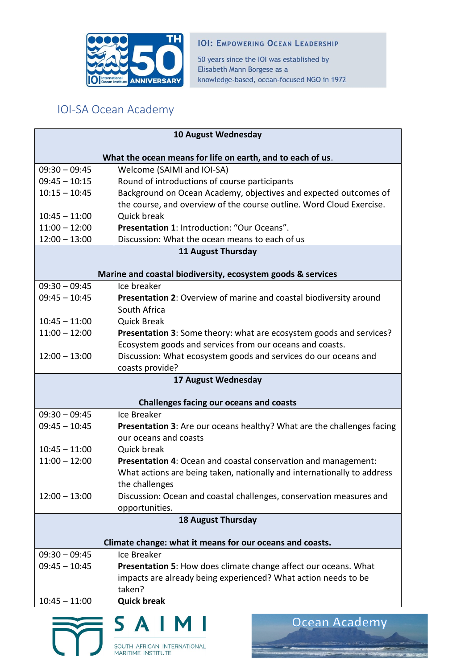

## **IOI: EMPOWERING OCEAN LEADERSHIP**

50 years since the IOI was established by Elisabeth Mann Borgese as a knowledge-based, ocean-focused NGO in 1972

## IOI-SA Ocean Academy

| 10 August Wednesday                                        |                                                                                    |  |
|------------------------------------------------------------|------------------------------------------------------------------------------------|--|
| What the ocean means for life on earth, and to each of us. |                                                                                    |  |
| $09:30 - 09:45$                                            | Welcome (SAIMI and IOI-SA)                                                         |  |
| $09:45 - 10:15$                                            | Round of introductions of course participants                                      |  |
| $10:15 - 10:45$                                            | Background on Ocean Academy, objectives and expected outcomes of                   |  |
|                                                            | the course, and overview of the course outline. Word Cloud Exercise.               |  |
| $10:45 - 11:00$                                            | Quick break                                                                        |  |
| $11:00 - 12:00$                                            | Presentation 1: Introduction: "Our Oceans".                                        |  |
| $12:00 - 13:00$                                            | Discussion: What the ocean means to each of us                                     |  |
| 11 August Thursday                                         |                                                                                    |  |
|                                                            |                                                                                    |  |
|                                                            | Marine and coastal biodiversity, ecosystem goods & services                        |  |
| $09:30 - 09:45$                                            | Ice breaker                                                                        |  |
| $09:45 - 10:45$                                            | Presentation 2: Overview of marine and coastal biodiversity around<br>South Africa |  |
| $10:45 - 11:00$                                            | <b>Quick Break</b>                                                                 |  |
| $11:00 - 12:00$                                            | Presentation 3: Some theory: what are ecosystem goods and services?                |  |
|                                                            | Ecosystem goods and services from our oceans and coasts.                           |  |
| $12:00 - 13:00$                                            | Discussion: What ecosystem goods and services do our oceans and                    |  |
|                                                            | coasts provide?                                                                    |  |
|                                                            | 17 August Wednesday                                                                |  |
|                                                            |                                                                                    |  |
| <b>Challenges facing our oceans and coasts</b>             |                                                                                    |  |
| $09:30 - 09:45$                                            | Ice Breaker                                                                        |  |
| $09:45 - 10:45$                                            | Presentation 3: Are our oceans healthy? What are the challenges facing             |  |
|                                                            | our oceans and coasts                                                              |  |
| $10:45 - 11:00$                                            | Quick break                                                                        |  |
| $11:00 - 12:00$                                            | Presentation 4: Ocean and coastal conservation and management:                     |  |
|                                                            | What actions are being taken, nationally and internationally to address            |  |
|                                                            | the challenges                                                                     |  |
| $12:00 - 13:00$                                            | Discussion: Ocean and coastal challenges, conservation measures and                |  |
|                                                            | opportunities.                                                                     |  |
| <b>18 August Thursday</b>                                  |                                                                                    |  |
|                                                            | Climate change: what it means for our oceans and coasts.                           |  |
| $09:30 - 09:45$                                            | Ice Breaker                                                                        |  |
| $09:45 - 10:45$                                            | Presentation 5: How does climate change affect our oceans. What                    |  |
|                                                            | impacts are already being experienced? What action needs to be                     |  |
|                                                            | taken?                                                                             |  |
| $10:45 - 11:00$                                            | <b>Quick break</b>                                                                 |  |
|                                                            | Ocean Academy<br>SAIM                                                              |  |
|                                                            |                                                                                    |  |
|                                                            | SOUTH AFRICAN INTERNATIONAL<br><b>MARITIME INSTITUTE</b>                           |  |

SOUTH AFRICAN INTERNATIONAL<br>MARITIME INSTITUTE